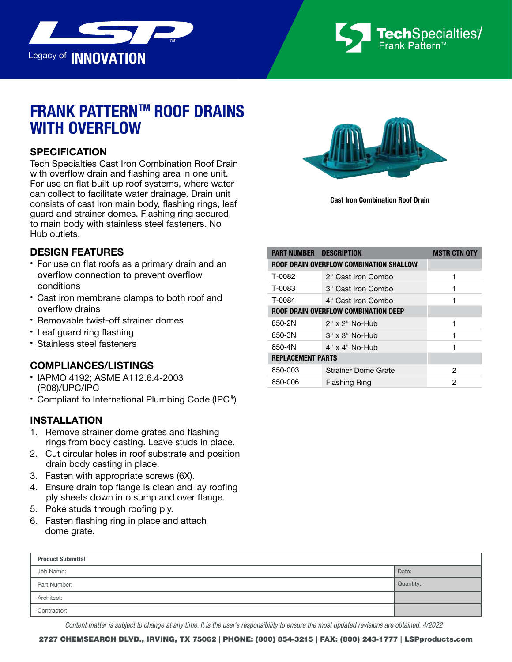



# **FRANK PATTERNTM ROOF DRAINS WITH OVERFLOW**

### **SPECIFICATION**

Tech Specialties Cast Iron Combination Roof Drain with overflow drain and flashing area in one unit. For use on flat built-up roof systems, where water can collect to facilitate water drainage. Drain unit consists of cast iron main body, flashing rings, leaf guard and strainer domes. Flashing ring secured to main body with stainless steel fasteners. No Hub outlets.

#### DESIGN FEATURES

- For use on flat roofs as a primary drain and an overflow connection to prevent overflow conditions
- Cast iron membrane clamps to both roof and overflow drains
- Removable twist-off strainer domes
- Leaf guard ring flashing
- Stainless steel fasteners

#### COMPLIANCES/LISTINGS

- IAPMO 4192; ASME A112.6.4-2003 (R08)/UPC/IPC
- Compliant to International Plumbing Code (IPC®)

#### INSTALLATION

- 1. Remove strainer dome grates and flashing rings from body casting. Leave studs in place.
- 2. Cut circular holes in roof substrate and position drain body casting in place.
- 3. Fasten with appropriate screws (6X).
- 4. Ensure drain top flange is clean and lay roofing ply sheets down into sump and over flange.
- 5. Poke studs through roofing ply.
- 6. Fasten flashing ring in place and attach dome grate.



Cast Iron Combination Roof Drain

| <b>PART NUMBER DESCRIPTION</b>              |                            | <b>MSTR CTN QTY</b> |  |  |
|---------------------------------------------|----------------------------|---------------------|--|--|
| ROOF DRAIN OVERFLOW COMBINATION SHALLOW     |                            |                     |  |  |
| T-0082                                      | 2" Cast Iron Combo         |                     |  |  |
| T-0083                                      | 3" Cast Iron Combo         |                     |  |  |
| T-0084                                      | 4" Cast Iron Combo         |                     |  |  |
| <b>ROOF DRAIN OVERFLOW COMBINATION DEEP</b> |                            |                     |  |  |
| 850-2N                                      | $2"$ x $2"$ No-Hub         | 1                   |  |  |
| 850-3N                                      | $3" \times 3"$ No-Hub      | 1                   |  |  |
| 850-4N                                      | $4" \times 4"$ No-Hub      | 1                   |  |  |
| <b>REPLACEMENT PARTS</b>                    |                            |                     |  |  |
| 850-003                                     | <b>Strainer Dome Grate</b> | 2                   |  |  |
| 850-006                                     | <b>Flashing Ring</b>       | 2                   |  |  |

| <b>Product Submittal</b> |           |  |  |  |  |
|--------------------------|-----------|--|--|--|--|
| Job Name:                | Date:     |  |  |  |  |
| Part Number:             | Quantity: |  |  |  |  |
| Architect:               |           |  |  |  |  |
| Contractor:              |           |  |  |  |  |

*Content matter is subject to change at any time. It is the user's responsibility to ensure the most updated revisions are obtained. 4/2022*